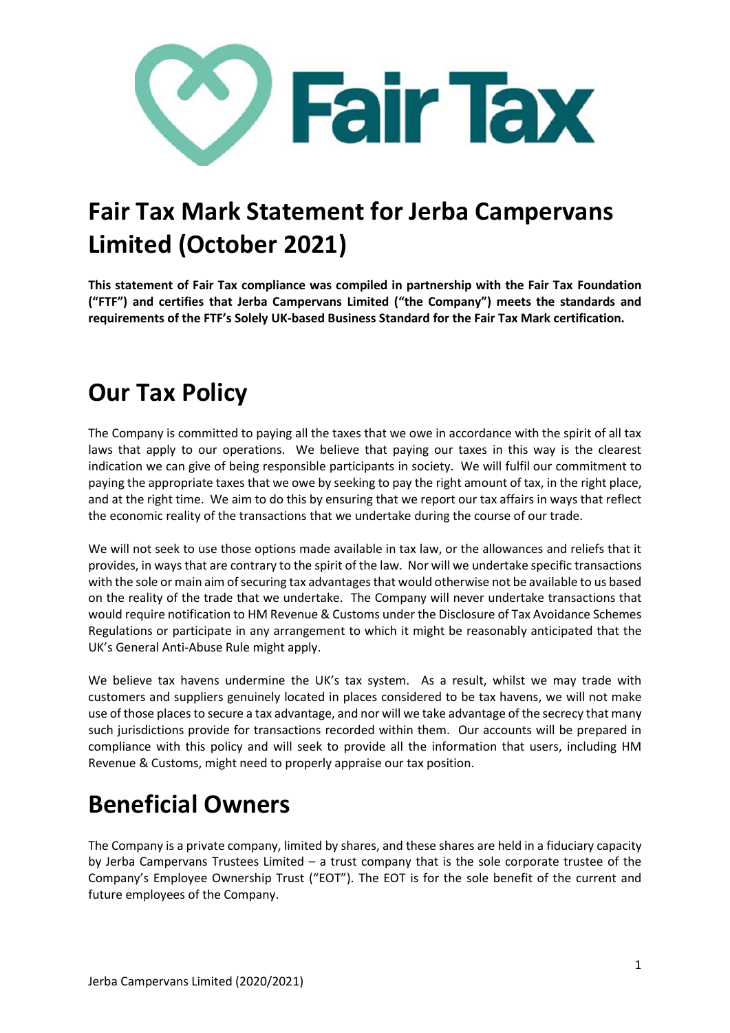

## **Fair Tax Mark Statement for Jerba Campervans Limited (October 2021)**

**This statement of Fair Tax compliance was compiled in partnership with the Fair Tax Foundation ("FTF") and certifies that Jerba Campervans Limited ("the Company") meets the standards and requirements of the FTF's Solely UK-based Business Standard for the Fair Tax Mark certification.**

## **Our Tax Policy**

The Company is committed to paying all the taxes that we owe in accordance with the spirit of all tax laws that apply to our operations. We believe that paying our taxes in this way is the clearest indication we can give of being responsible participants in society. We will fulfil our commitment to paying the appropriate taxes that we owe by seeking to pay the right amount of tax, in the right place, and at the right time. We aim to do this by ensuring that we report our tax affairs in ways that reflect the economic reality of the transactions that we undertake during the course of our trade.

We will not seek to use those options made available in tax law, or the allowances and reliefs that it provides, in ways that are contrary to the spirit of the law. Nor will we undertake specific transactions with the sole or main aim of securing tax advantages that would otherwise not be available to us based on the reality of the trade that we undertake. The Company will never undertake transactions that would require notification to HM Revenue & Customs under the Disclosure of Tax Avoidance Schemes Regulations or participate in any arrangement to which it might be reasonably anticipated that the UK's General Anti-Abuse Rule might apply.

We believe tax havens undermine the UK's tax system. As a result, whilst we may trade with customers and suppliers genuinely located in places considered to be tax havens, we will not make use of those places to secure a tax advantage, and nor will we take advantage of the secrecy that many such jurisdictions provide for transactions recorded within them. Our accounts will be prepared in compliance with this policy and will seek to provide all the information that users, including HM Revenue & Customs, might need to properly appraise our tax position.

## **Beneficial Owners**

The Company is a private company, limited by shares, and these shares are held in a fiduciary capacity by Jerba Campervans Trustees Limited – a trust company that is the sole corporate trustee of the Company's Employee Ownership Trust ("EOT"). The EOT is for the sole benefit of the current and future employees of the Company.